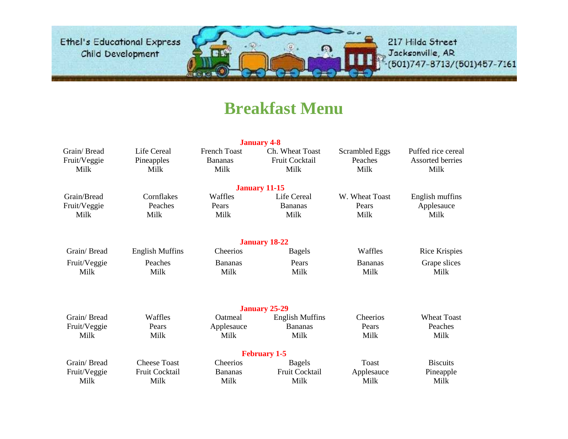

217 Hilda Street , Jacksonville, AR<br>•(501)747-8713/(501)457-7161

### **Breakfast Menu**

|              |                        |                     | <b>January 4-8</b>     |                |                      |
|--------------|------------------------|---------------------|------------------------|----------------|----------------------|
| Grain/Bread  | Life Cereal            | <b>French Toast</b> | Ch. Wheat Toast        | Scrambled Eggs | Puffed rice cereal   |
| Fruit/Veggie | Pineapples             | <b>Bananas</b>      | Fruit Cocktail         | Peaches        | Assorted berries     |
| Milk         | Milk                   | Milk                | Milk                   | Milk           | Milk                 |
|              |                        |                     |                        |                |                      |
|              |                        |                     | <b>January 11-15</b>   |                |                      |
| Grain/Bread  | Cornflakes             | Waffles             | Life Cereal            | W. Wheat Toast | English muffins      |
| Fruit/Veggie | Peaches                | Pears               | <b>Bananas</b>         | Pears          | Applesauce           |
| Milk         | Milk                   | Milk                | Milk                   | Milk           | Milk                 |
|              |                        |                     |                        |                |                      |
|              |                        |                     | <b>January 18-22</b>   |                |                      |
| Grain/Bread  | <b>English Muffins</b> | Cheerios            | <b>Bagels</b>          | Waffles        | <b>Rice Krispies</b> |
| Fruit/Veggie | Peaches                | <b>Bananas</b>      | Pears                  | <b>Bananas</b> | Grape slices         |
| Milk         | Milk                   | Milk                | Milk                   | Milk           | Milk                 |
|              |                        |                     |                        |                |                      |
|              |                        |                     | <b>January 25-29</b>   |                |                      |
| Grain/Bread  | Waffles                | Oatmeal             | <b>English Muffins</b> | Cheerios       | <b>Wheat Toast</b>   |
| Fruit/Veggie | Pears                  | Applesauce          | <b>Bananas</b>         | Pears          | Peaches              |
| Milk         | Milk                   | Milk                | Milk                   | Milk           | Milk                 |
|              |                        |                     | <b>February 1-5</b>    |                |                      |
| Grain/Bread  | <b>Cheese Toast</b>    | Cheerios            | <b>Bagels</b>          | Toast          | <b>Biscuits</b>      |
| Fruit/Veggie | Fruit Cocktail         | <b>Bananas</b>      | Fruit Cocktail         | Applesauce     | Pineapple            |
| Milk         | Milk                   | Milk                | Milk                   | Milk           | Milk                 |
|              |                        |                     |                        |                |                      |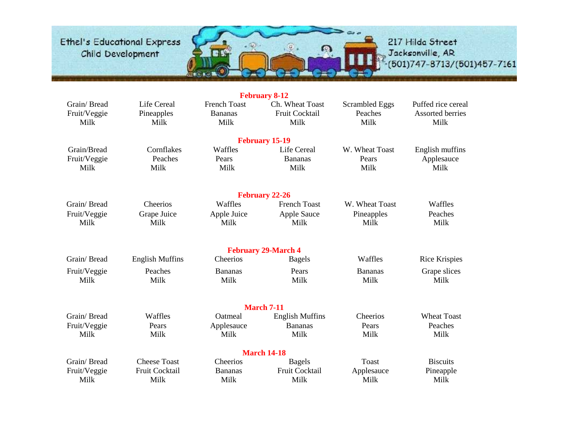

|                                     |                                   |                                               | <b>February 8-12</b>                      |                                          |                                                       |
|-------------------------------------|-----------------------------------|-----------------------------------------------|-------------------------------------------|------------------------------------------|-------------------------------------------------------|
| Grain/Bread<br>Fruit/Veggie<br>Milk | Life Cereal<br>Pineapples<br>Milk | <b>French Toast</b><br><b>Bananas</b><br>Milk | Ch. Wheat Toast<br>Fruit Cocktail<br>Milk | <b>Scrambled Eggs</b><br>Peaches<br>Milk | Puffed rice cereal<br><b>Assorted berries</b><br>Milk |
|                                     |                                   |                                               | <b>February 15-19</b>                     |                                          |                                                       |
| Grain/Bread                         | Cornflakes                        | Waffles                                       | Life Cereal                               | W. Wheat Toast                           | English muffins                                       |
| Fruit/Veggie<br>Milk                | Peaches<br>Milk                   | Pears<br>Milk                                 | <b>Bananas</b><br>Milk                    | Pears<br>Milk                            | Applesauce<br>Milk                                    |
|                                     |                                   |                                               | <b>February 22-26</b>                     |                                          |                                                       |
| Grain/Bread                         | Cheerios                          | Waffles                                       | <b>French Toast</b>                       | W. Wheat Toast                           | Waffles                                               |
| Fruit/Veggie<br>Milk                | Grape Juice<br>Milk               | Apple Juice<br>Milk                           | <b>Apple Sauce</b><br>Milk                | Pineapples<br>Milk                       | Peaches<br>Milk                                       |
|                                     |                                   |                                               | <b>February 29-March 4</b>                |                                          |                                                       |
| Grain/Bread                         | <b>English Muffins</b>            | Cheerios                                      | <b>Bagels</b>                             | Waffles                                  | <b>Rice Krispies</b>                                  |
| Fruit/Veggie<br>Milk                | Peaches<br>Milk                   | <b>Bananas</b><br>Milk                        | Pears<br>Milk                             | <b>Bananas</b><br>Milk                   | Grape slices<br>Milk                                  |
|                                     |                                   |                                               | <b>March 7-11</b>                         |                                          |                                                       |
| Grain/Bread                         | Waffles                           | Oatmeal                                       | <b>English Muffins</b>                    | Cheerios                                 | <b>Wheat Toast</b>                                    |
| Fruit/Veggie<br>Milk                | Pears<br>Milk                     | Applesauce<br>Milk                            | <b>Bananas</b><br>Milk                    | Pears<br>Milk                            | Peaches<br>Milk                                       |
|                                     |                                   |                                               | <b>March 14-18</b>                        |                                          |                                                       |
| Grain/Bread                         | <b>Cheese Toast</b>               | Cheerios                                      | <b>Bagels</b>                             | <b>Toast</b>                             | <b>Biscuits</b>                                       |
| Fruit/Veggie<br>Milk                | Fruit Cocktail<br>Milk            | <b>Bananas</b><br>Milk                        | Fruit Cocktail<br>Milk                    | Applesauce<br>Milk                       | Pineapple<br>Milk                                     |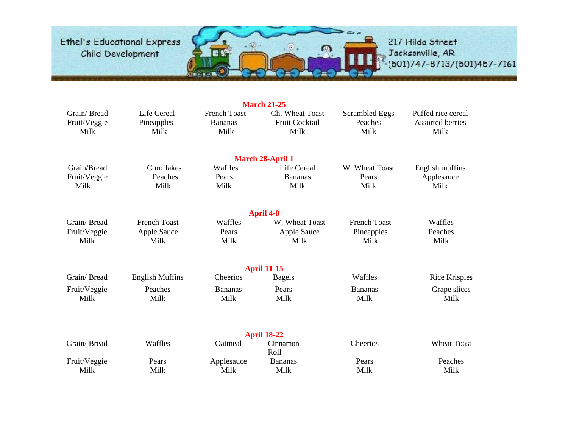

|                                     |                                   |                                               | <b>March 21-25</b>                        |                                   |                                                       |
|-------------------------------------|-----------------------------------|-----------------------------------------------|-------------------------------------------|-----------------------------------|-------------------------------------------------------|
| Grain/Bread<br>Fruit/Veggie<br>Milk | Life Cereal<br>Pineapples<br>Milk | <b>French Toast</b><br><b>Bananas</b><br>Milk | Ch. Wheat Toast<br>Fruit Cocktail<br>Milk | Scrambled Eggs<br>Peaches<br>Milk | Puffed rice cereal<br><b>Assorted berries</b><br>Milk |
|                                     |                                   |                                               | <b>March 28-April 1</b>                   |                                   |                                                       |
| Grain/Bread                         | Cornflakes                        | Waffles                                       | Life Cereal                               | W. Wheat Toast                    | English muffins                                       |
| Fruit/Veggie<br>Milk                | Peaches<br>Milk                   | Pears<br>Milk                                 | <b>Bananas</b><br>Milk                    | Pears<br>Milk                     | Applesauce<br>Milk                                    |
|                                     |                                   |                                               | <b>April 4-8</b>                          |                                   |                                                       |
| Grain/Bread                         | <b>French Toast</b>               | Waffles                                       | W. Wheat Toast                            | <b>French Toast</b>               | Waffles                                               |
| Fruit/Veggie                        | <b>Apple Sauce</b>                | Pears                                         | <b>Apple Sauce</b>                        | Pineapples                        | Peaches                                               |
| Milk                                | Milk                              | Milk                                          | Milk                                      | Milk                              | Milk                                                  |
|                                     |                                   |                                               | <b>April 11-15</b>                        |                                   |                                                       |
| Grain/Bread                         | <b>English Muffins</b>            | Cheerios                                      | <b>Bagels</b>                             | Waffles                           | <b>Rice Krispies</b>                                  |
| Fruit/Veggie                        | Peaches                           | <b>Bananas</b>                                | Pears                                     | <b>Bananas</b>                    | Grape slices                                          |
| Milk                                | Milk                              | Milk                                          | Milk                                      | Milk                              | Milk                                                  |
|                                     |                                   |                                               | <b>April 18-22</b>                        |                                   |                                                       |
| Grain/Bread                         | Waffles                           | Oatmeal                                       | Cinnamon<br>Roll                          | Cheerios                          | <b>Wheat Toast</b>                                    |
| Fruit/Veggie                        | Pears                             | Applesauce                                    | <b>Bananas</b>                            | Pears                             | Peaches                                               |
| Milk                                | Milk                              | Milk                                          | Milk                                      | Milk                              | Milk                                                  |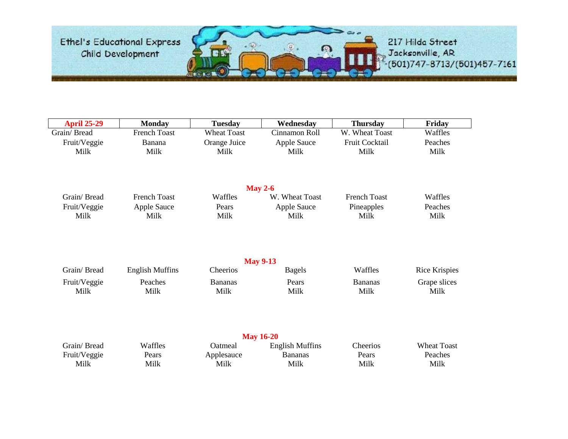

| <b>April 25-29</b> | <b>Monday</b>          | <b>Tuesday</b>     | Wednesday                        | <b>Thursday</b>     | Friday               |
|--------------------|------------------------|--------------------|----------------------------------|---------------------|----------------------|
| Grain/Bread        | <b>French Toast</b>    | <b>Wheat Toast</b> | Cinnamon Roll                    | W. Wheat Toast      | Waffles              |
| Fruit/Veggie       | Banana                 | Orange Juice       | Apple Sauce                      | Fruit Cocktail      | Peaches              |
| Milk               | Milk                   | Milk               | Milk                             | Milk                | Milk                 |
|                    |                        |                    | <b>May 2-6</b>                   |                     |                      |
| Grain/Bread        | <b>French Toast</b>    | Waffles            | W. Wheat Toast                   | <b>French Toast</b> | Waffles              |
| Fruit/Veggie       | Apple Sauce            | Pears              | Apple Sauce                      | Pineapples          | Peaches              |
| Milk               | Milk                   | Milk               | Milk                             | Milk                | Milk                 |
| Grain/Bread        | <b>English Muffins</b> | Cheerios           | <b>May 9-13</b><br><b>Bagels</b> | Waffles             | <b>Rice Krispies</b> |
| Fruit/Veggie       | Peaches                | <b>Bananas</b>     | Pears                            | <b>Bananas</b>      | Grape slices         |
| Milk               | Milk                   | Milk               | Milk                             | Milk                | Milk                 |
|                    |                        |                    | <b>May 16-20</b>                 |                     |                      |
| Grain/Bread        | Waffles                | Oatmeal            | <b>English Muffins</b>           | Cheerios            | <b>Wheat Toast</b>   |
| Fruit/Veggie       | Pears<br>Milk          | Applesauce<br>Milk | <b>Bananas</b><br>Milk           | Pears<br>Milk       | Peaches<br>Milk      |
| Milk               |                        |                    |                                  |                     |                      |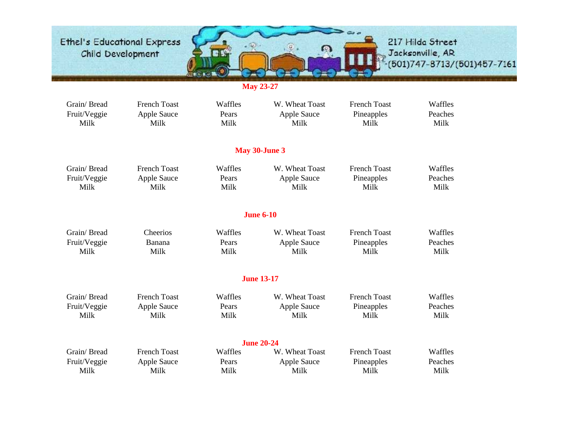Ethel's Educational Express<br>Child Development 217 Hilda Street  $\Omega$ , Jacksonville, AR<br>-(501)747-8713/(501)457-7161

**May 23-27**

| Grain/Bread  | <b>French Toast</b> | Waffles | W. Wheat Toast     | <b>French Toast</b> | Waffles |
|--------------|---------------------|---------|--------------------|---------------------|---------|
| Fruit/Veggie | Apple Sauce         | Pears   | <b>Apple Sauce</b> | Pineapples          | Peaches |
| Milk         | Milk                | Milk    | Milk               | Milk                | Milk    |
|              |                     |         | May 30-June 3      |                     |         |
| Grain/Bread  | <b>French Toast</b> | Waffles | W. Wheat Toast     | <b>French Toast</b> | Waffles |
| Fruit/Veggie | Apple Sauce         | Pears   | Apple Sauce        | Pineapples          | Peaches |
| Milk         | Milk                | Milk    | Milk               | Milk                | Milk    |
|              |                     |         | <b>June 6-10</b>   |                     |         |
| Grain/Bread  | Cheerios            | Waffles | W. Wheat Toast     | <b>French Toast</b> | Waffles |
| Fruit/Veggie | Banana              | Pears   | <b>Apple Sauce</b> | Pineapples          | Peaches |
| Milk         | Milk                | Milk    | Milk               | Milk                | Milk    |
|              |                     |         | <b>June 13-17</b>  |                     |         |
| Grain/Bread  | <b>French Toast</b> | Waffles | W. Wheat Toast     | <b>French Toast</b> | Waffles |
| Fruit/Veggie | <b>Apple Sauce</b>  | Pears   | Apple Sauce        | Pineapples          | Peaches |
| Milk         | Milk                | Milk    | Milk               | Milk                | Milk    |
|              |                     |         | <b>June 20-24</b>  |                     |         |
| Grain/Bread  | <b>French Toast</b> | Waffles | W. Wheat Toast     | <b>French Toast</b> | Waffles |
| Fruit/Veggie | Apple Sauce         | Pears   | <b>Apple Sauce</b> | Pineapples          | Peaches |
| Milk         | Milk                | Milk    | Milk               | Milk                | Milk    |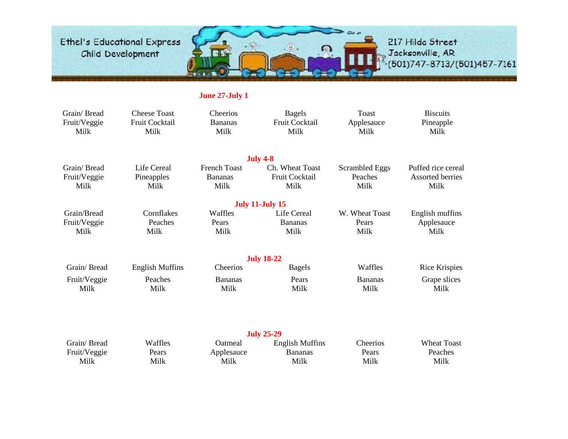

217 Hilda Street , Jacksonville, AR<br>-(501)747-8713/(501)457-7161

### **June 27-July 1**

| Grain/Bread<br>Fruit/Veggie<br>Milk | <b>Cheese Toast</b><br>Fruit Cocktail<br>Milk | Cheerios<br><b>Bananas</b><br>Milk | <b>Bagels</b><br>Fruit Cocktail<br>Milk | <b>Toast</b><br>Applesauce<br>Milk | <b>Biscuits</b><br>Pineapple<br>Milk |
|-------------------------------------|-----------------------------------------------|------------------------------------|-----------------------------------------|------------------------------------|--------------------------------------|
|                                     |                                               |                                    | <b>July 4-8</b>                         |                                    |                                      |
| Grain/Bread                         | Life Cereal                                   | <b>French Toast</b>                | Ch. Wheat Toast                         | <b>Scrambled Eggs</b>              | Puffed rice cereal                   |
| Fruit/Veggie<br>Milk                | Pineapples<br>Milk                            | <b>Bananas</b><br>Milk             | Fruit Cocktail<br>Milk                  | Peaches<br>Milk                    | Assorted berries<br>Milk             |
|                                     |                                               |                                    | <b>July 11-July 15</b>                  |                                    |                                      |
| Grain/Bread                         | Cornflakes                                    | Waffles                            | Life Cereal                             | W. Wheat Toast                     | English muffins                      |
| Fruit/Veggie                        | Peaches                                       | Pears                              | <b>Bananas</b>                          | Pears                              | Applesauce                           |
| Milk                                | Milk                                          | Milk                               | Milk                                    | Milk                               | Milk                                 |
|                                     |                                               |                                    | <b>July 18-22</b>                       |                                    |                                      |
| Grain/Bread                         | <b>English Muffins</b>                        | Cheerios                           | <b>Bagels</b>                           | Waffles                            | <b>Rice Krispies</b>                 |
| Fruit/Veggie                        | Peaches                                       | <b>Bananas</b>                     | Pears                                   | <b>Bananas</b>                     | Grape slices                         |
| Milk                                | Milk                                          | Milk                               | Milk                                    | Milk                               | Milk                                 |
|                                     |                                               |                                    | <b>July 25-29</b>                       |                                    |                                      |
| Grain/Bread                         | Waffles                                       | Oatmeal                            | <b>English Muffins</b>                  | Cheerios                           | <b>Wheat Toast</b>                   |
| Fruit/Veggie                        | Pears                                         | Applesauce                         | <b>Bananas</b>                          | Pears                              | Peaches                              |
| Milk                                | Milk                                          | Milk                               | Milk                                    | Milk                               | Milk                                 |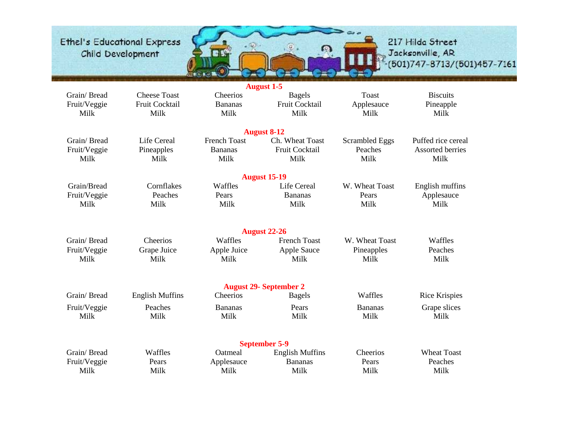

|                                     |                                               |                                    | <b>August 1-5</b>                       |                                    |                                      |
|-------------------------------------|-----------------------------------------------|------------------------------------|-----------------------------------------|------------------------------------|--------------------------------------|
| Grain/Bread<br>Fruit/Veggie<br>Milk | <b>Cheese Toast</b><br>Fruit Cocktail<br>Milk | Cheerios<br><b>Bananas</b><br>Milk | <b>Bagels</b><br>Fruit Cocktail<br>Milk | <b>Toast</b><br>Applesauce<br>Milk | <b>Biscuits</b><br>Pineapple<br>Milk |
|                                     |                                               |                                    | <b>August 8-12</b>                      |                                    |                                      |
| Grain/Bread                         | <b>Life Cereal</b>                            | <b>French Toast</b>                | Ch. Wheat Toast                         | <b>Scrambled Eggs</b>              | Puffed rice cereal                   |
| Fruit/Veggie<br>Milk                | Pineapples<br>Milk                            | <b>Bananas</b><br>Milk             | Fruit Cocktail<br>Milk                  | Peaches<br>Milk                    | Assorted berries<br>Milk             |
|                                     |                                               |                                    | <b>August 15-19</b>                     |                                    |                                      |
| Grain/Bread                         | Cornflakes                                    | Waffles                            | Life Cereal                             | W. Wheat Toast                     | English muffins                      |
| Fruit/Veggie                        | Peaches                                       | Pears                              | <b>Bananas</b>                          | Pears                              | Applesauce                           |
| Milk                                | Milk                                          | Milk                               | Milk                                    | Milk                               | Milk                                 |
|                                     |                                               |                                    | <b>August 22-26</b>                     |                                    |                                      |
| Grain/Bread                         | Cheerios                                      | Waffles                            | <b>French Toast</b>                     | W. Wheat Toast                     | Waffles                              |
| Fruit/Veggie                        | Grape Juice                                   | Apple Juice                        | <b>Apple Sauce</b>                      | Pineapples                         | Peaches                              |
| Milk                                | Milk                                          | Milk                               | Milk                                    | Milk                               | Milk                                 |
|                                     |                                               |                                    | <b>August 29- September 2</b>           |                                    |                                      |
| Grain/Bread                         | <b>English Muffins</b>                        | Cheerios                           | <b>Bagels</b>                           | Waffles                            | Rice Krispies                        |
| Fruit/Veggie                        | Peaches                                       | <b>Bananas</b>                     | Pears                                   | <b>Bananas</b>                     | Grape slices                         |
| Milk                                | Milk                                          | Milk                               | Milk                                    | Milk                               | Milk                                 |
|                                     |                                               |                                    | <b>September 5-9</b>                    |                                    |                                      |
| Grain/Bread                         | Waffles                                       | Oatmeal                            | <b>English Muffins</b>                  | Cheerios                           | <b>Wheat Toast</b>                   |
| Fruit/Veggie                        | Pears                                         | Applesauce                         | <b>Bananas</b>                          | Pears                              | Peaches                              |
| Milk                                | Milk                                          | Milk                               | Milk                                    | Milk                               | Milk                                 |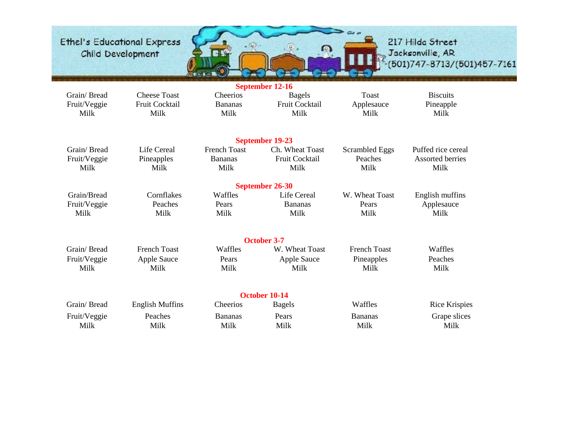

| September 12-16 |                        |                     |                       |                       |                         |  |  |
|-----------------|------------------------|---------------------|-----------------------|-----------------------|-------------------------|--|--|
| Grain/Bread     | <b>Cheese Toast</b>    | Cheerios            | <b>Bagels</b>         | Toast                 | <b>Biscuits</b>         |  |  |
| Fruit/Veggie    | Fruit Cocktail         | <b>Bananas</b>      | <b>Fruit Cocktail</b> | Applesauce            | Pineapple               |  |  |
| Milk            | Milk                   | Milk                | Milk                  | Milk                  | Milk                    |  |  |
|                 |                        |                     |                       |                       |                         |  |  |
|                 |                        |                     | September 19-23       |                       |                         |  |  |
| Grain/Bread     | <b>Life Cereal</b>     | <b>French Toast</b> | Ch. Wheat Toast       | <b>Scrambled Eggs</b> | Puffed rice cereal      |  |  |
| Fruit/Veggie    | Pineapples             | <b>Bananas</b>      | <b>Fruit Cocktail</b> | Peaches               | <b>Assorted berries</b> |  |  |
| Milk            | Milk                   | Milk                | Milk                  | Milk                  | Milk                    |  |  |
|                 |                        |                     | September 26-30       |                       |                         |  |  |
| Grain/Bread     | Cornflakes             | Waffles             | Life Cereal           | W. Wheat Toast        | English muffins         |  |  |
| Fruit/Veggie    | Peaches                | Pears               | <b>Bananas</b>        | Pears                 | Applesauce              |  |  |
| Milk            | Milk                   | Milk                | Milk                  | Milk                  | Milk                    |  |  |
|                 |                        |                     |                       |                       |                         |  |  |
|                 |                        |                     | <b>October 3-7</b>    |                       |                         |  |  |
| Grain/Bread     | <b>French Toast</b>    | Waffles             | W. Wheat Toast        | <b>French Toast</b>   | Waffles                 |  |  |
| Fruit/Veggie    | <b>Apple Sauce</b>     | Pears               | <b>Apple Sauce</b>    | Pineapples            | Peaches                 |  |  |
| Milk            | Milk                   | Milk                | Milk                  | Milk                  | Milk                    |  |  |
|                 |                        |                     |                       |                       |                         |  |  |
|                 |                        |                     | October 10-14         |                       |                         |  |  |
| Grain/Bread     | <b>English Muffins</b> | Cheerios            | <b>Bagels</b>         | Waffles               | Rice Krispies           |  |  |
| Fruit/Veggie    | Peaches                | <b>Bananas</b>      | Pears                 | <b>Bananas</b>        | Grape slices            |  |  |
| Milk            | Milk                   | Milk                | Milk                  | Milk                  | Milk                    |  |  |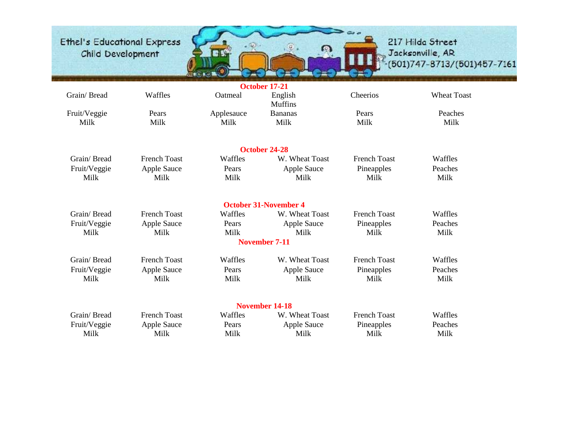

|                      |                     |               | October 17-21                |                     |                    |
|----------------------|---------------------|---------------|------------------------------|---------------------|--------------------|
| Grain/Bread          | Waffles             | Oatmeal       | English<br><b>Muffins</b>    | Cheerios            | <b>Wheat Toast</b> |
| Fruit/Veggie         | Pears               | Applesauce    | <b>Bananas</b>               | Pears               | Peaches            |
| Milk                 | Milk                | Milk          | Milk                         | Milk                | Milk               |
|                      |                     |               | October 24-28                |                     |                    |
| Grain/Bread          | <b>French Toast</b> | Waffles       | W. Wheat Toast               | <b>French Toast</b> | Waffles            |
| Fruit/Veggie<br>Milk | Apple Sauce<br>Milk | Pears<br>Milk | <b>Apple Sauce</b><br>Milk   | Pineapples<br>Milk  | Peaches<br>Milk    |
|                      |                     |               | <b>October 31-November 4</b> |                     |                    |
| Grain/Bread          | <b>French Toast</b> | Waffles       | W. Wheat Toast               | <b>French Toast</b> | Waffles            |
| Fruit/Veggie         | <b>Apple Sauce</b>  | Pears         | <b>Apple Sauce</b>           | Pineapples          | Peaches            |
| Milk                 | Milk                | Milk          | Milk                         | Milk                | Milk               |
|                      |                     |               | <b>November 7-11</b>         |                     |                    |
| Grain/Bread          | <b>French Toast</b> | Waffles       | W. Wheat Toast               | <b>French Toast</b> | Waffles            |
| Fruit/Veggie         | Apple Sauce         | Pears         | <b>Apple Sauce</b>           | Pineapples          | Peaches            |
| Milk                 | Milk                | Milk          | Milk                         | Milk                | Milk               |
|                      |                     |               | <b>November 14-18</b>        |                     |                    |
| Grain/Bread          | <b>French Toast</b> | Waffles       | W. Wheat Toast               | <b>French Toast</b> | Waffles            |
| Fruit/Veggie         | <b>Apple Sauce</b>  | Pears         | <b>Apple Sauce</b>           | Pineapples          | Peaches            |
| Milk                 | Milk                | Milk          | Milk                         | Milk                | Milk               |
|                      |                     |               |                              |                     |                    |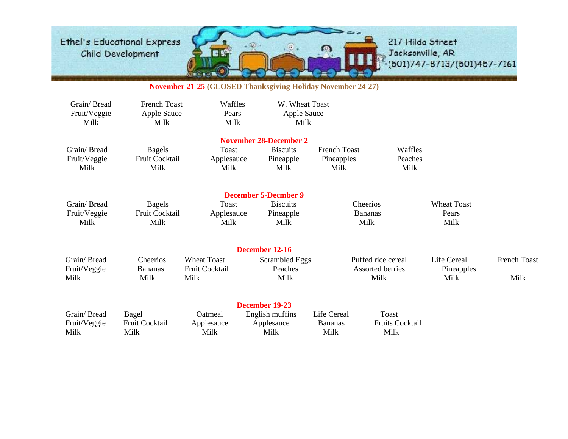

217 Hilda Street , Jacksonville, AR<br>•(501)747-8713/(501)457-7161

#### **November 21-25 (CLOSED Thanksgiving Holiday November 24-27)**

| Grain/Bread<br>Fruit/Veggie<br>Milk | <b>French Toast</b><br>Apple Sauce<br>Milk | Waffles<br>Pears<br>Milk             | W. Wheat Toast<br><b>Apple Sauce</b><br>Milk                          |                                           |                                           |                                     |              |
|-------------------------------------|--------------------------------------------|--------------------------------------|-----------------------------------------------------------------------|-------------------------------------------|-------------------------------------------|-------------------------------------|--------------|
| Grain/Bread<br>Fruit/Veggie<br>Milk | <b>Bagels</b><br>Fruit Cocktail<br>Milk    | Toast<br>Applesauce<br>Milk          | <b>November 28-December 2</b><br><b>Biscuits</b><br>Pineapple<br>Milk | <b>French Toast</b><br>Pineapples<br>Milk | Waffles<br>Peaches<br>Milk                |                                     |              |
| Grain/Bread<br>Fruit/Veggie<br>Milk | <b>Bagels</b><br>Fruit Cocktail<br>Milk    | Toast<br>Applesauce<br>Milk          | <b>December 5-Decmber 9</b><br><b>Biscuits</b><br>Pineapple<br>Milk   |                                           | <b>Cheerios</b><br><b>Bananas</b><br>Milk | <b>Wheat Toast</b><br>Pears<br>Milk |              |
| Grain/Bread<br>Fruit/Veggie         | Cheerios<br><b>Bananas</b>                 | <b>Wheat Toast</b><br>Fruit Cocktail | December 12-16<br><b>Scrambled Eggs</b><br>Peaches                    |                                           | Puffed rice cereal<br>Assorted berries    | Life Cereal<br>Pineapples           | French Toast |
| Milk<br>Grain/Bread                 | Milk<br>Bagel                              | Milk<br><b>O</b> atmeal              | Milk<br>December 19-23<br>English muffins                             | Life Cereal                               | Milk<br><b>Toast</b>                      | Milk                                | Milk         |
| Fruit/Veggie<br>Milk                | Fruit Cocktail<br>Milk                     | Applesauce<br>Milk                   | Applesauce<br>Milk                                                    | <b>Bananas</b><br>Milk                    | <b>Fruits Cocktail</b><br>Milk            |                                     |              |